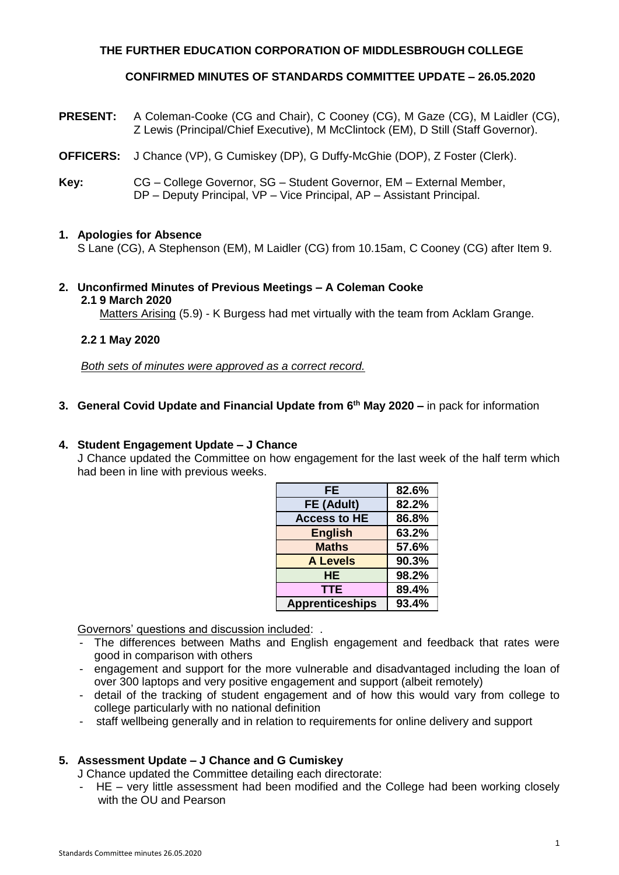# **THE FURTHER EDUCATION CORPORATION OF MIDDLESBROUGH COLLEGE**

### **CONFIRMED MINUTES OF STANDARDS COMMITTEE UPDATE – 26.05.2020**

- **PRESENT:** A Coleman-Cooke (CG and Chair), C Cooney (CG), M Gaze (CG), M Laidler (CG), Z Lewis (Principal/Chief Executive), M McClintock (EM), D Still (Staff Governor).
- **OFFICERS:** J Chance (VP), G Cumiskey (DP), G Duffy-McGhie (DOP), Z Foster (Clerk).
- **Key:** CG College Governor, SG Student Governor, EM External Member, DP – Deputy Principal, VP – Vice Principal, AP – Assistant Principal.

#### **1. Apologies for Absence**

S Lane (CG), A Stephenson (EM), M Laidler (CG) from 10.15am, C Cooney (CG) after Item 9.

#### **2. Unconfirmed Minutes of Previous Meetings – A Coleman Cooke 2.1 9 March 2020**

Matters Arising (5.9) - K Burgess had met virtually with the team from Acklam Grange.

### **2.2 1 May 2020**

*Both sets of minutes were approved as a correct record.*

# **3. General Covid Update and Financial Update from 6th May 2020 –** in pack for information

#### **4. Student Engagement Update – J Chance**

J Chance updated the Committee on how engagement for the last week of the half term which had been in line with previous weeks.

| FE                     | 82.6% |
|------------------------|-------|
| FE (Adult)             | 82.2% |
| <b>Access to HE</b>    | 86.8% |
| <b>English</b>         | 63.2% |
| <b>Maths</b>           | 57.6% |
| <b>A Levels</b>        | 90.3% |
| HE.                    | 98.2% |
| TTE                    | 89.4% |
| <b>Apprenticeships</b> | 93.4% |

Governors' questions and discussion included: .

- The differences between Maths and English engagement and feedback that rates were good in comparison with others
- engagement and support for the more vulnerable and disadvantaged including the loan of over 300 laptops and very positive engagement and support (albeit remotely)
- detail of the tracking of student engagement and of how this would vary from college to college particularly with no national definition
- staff wellbeing generally and in relation to requirements for online delivery and support

# **5. Assessment Update – J Chance and G Cumiskey**

J Chance updated the Committee detailing each directorate:

- HE – very little assessment had been modified and the College had been working closely with the OU and Pearson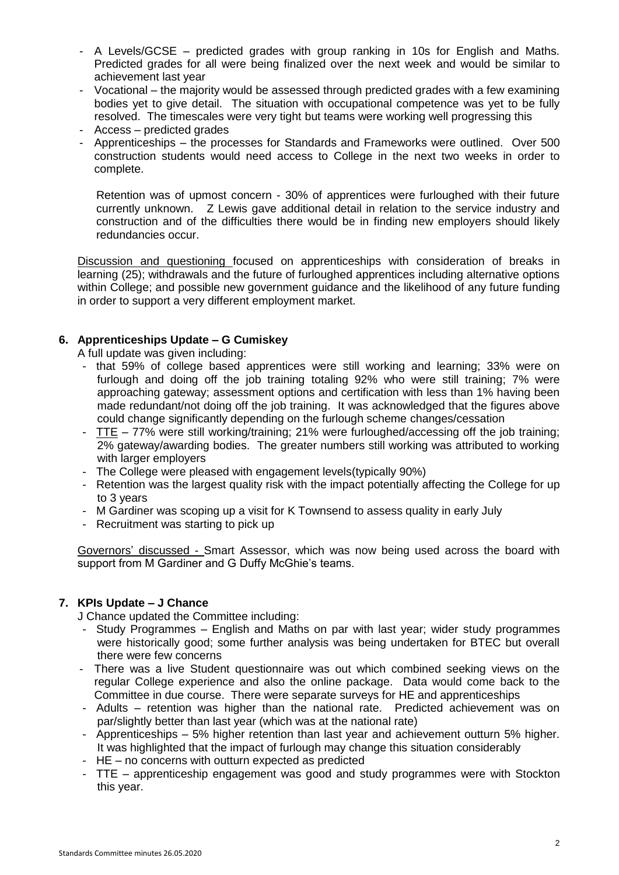- A Levels/GCSE predicted grades with group ranking in 10s for English and Maths. Predicted grades for all were being finalized over the next week and would be similar to achievement last year
- Vocational the majority would be assessed through predicted grades with a few examining bodies yet to give detail. The situation with occupational competence was yet to be fully resolved. The timescales were very tight but teams were working well progressing this
- Access predicted grades
- Apprenticeships the processes for Standards and Frameworks were outlined. Over 500 construction students would need access to College in the next two weeks in order to complete.

Retention was of upmost concern - 30% of apprentices were furloughed with their future currently unknown. Z Lewis gave additional detail in relation to the service industry and construction and of the difficulties there would be in finding new employers should likely redundancies occur.

Discussion and questioning focused on apprenticeships with consideration of breaks in learning (25); withdrawals and the future of furloughed apprentices including alternative options within College; and possible new government guidance and the likelihood of any future funding in order to support a very different employment market.

# **6. Apprenticeships Update – G Cumiskey**

A full update was given including:

- that 59% of college based apprentices were still working and learning; 33% were on furlough and doing off the job training totaling 92% who were still training; 7% were approaching gateway; assessment options and certification with less than 1% having been made redundant/not doing off the job training. It was acknowledged that the figures above could change significantly depending on the furlough scheme changes/cessation
- $ITE 77%$  were still working/training; 21% were furloughed/accessing off the job training;</u> 2% gateway/awarding bodies. The greater numbers still working was attributed to working with larger employers
- The College were pleased with engagement levels(typically 90%)
- Retention was the largest quality risk with the impact potentially affecting the College for up to 3 years
- M Gardiner was scoping up a visit for K Townsend to assess quality in early July
- Recruitment was starting to pick up

Governors' discussed - Smart Assessor, which was now being used across the board with support from M Gardiner and G Duffy McGhie's teams.

# **7. KPIs Update – J Chance**

J Chance updated the Committee including:

- Study Programmes English and Maths on par with last year; wider study programmes were historically good; some further analysis was being undertaken for BTEC but overall there were few concerns
- There was a live Student questionnaire was out which combined seeking views on the regular College experience and also the online package. Data would come back to the Committee in due course. There were separate surveys for HE and apprenticeships
- Adults retention was higher than the national rate. Predicted achievement was on par/slightly better than last year (which was at the national rate)
- Apprenticeships 5% higher retention than last year and achievement outturn 5% higher. It was highlighted that the impact of furlough may change this situation considerably
- HE no concerns with outturn expected as predicted
- TTE apprenticeship engagement was good and study programmes were with Stockton this year.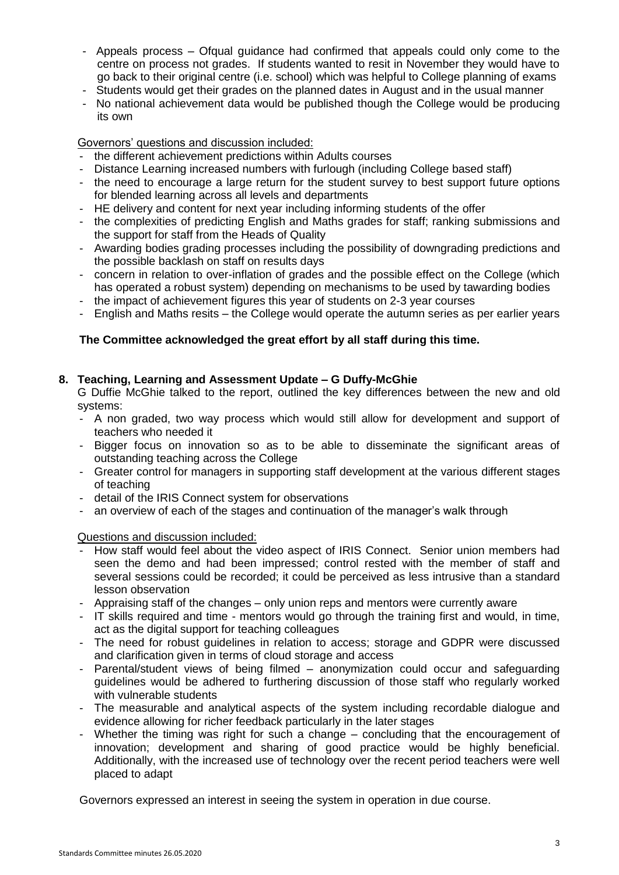- Appeals process Ofqual guidance had confirmed that appeals could only come to the centre on process not grades. If students wanted to resit in November they would have to go back to their original centre (i.e. school) which was helpful to College planning of exams
- Students would get their grades on the planned dates in August and in the usual manner
- No national achievement data would be published though the College would be producing its own

### Governors' questions and discussion included:

- the different achievement predictions within Adults courses
- Distance Learning increased numbers with furlough (including College based staff)
- the need to encourage a large return for the student survey to best support future options for blended learning across all levels and departments
- HE delivery and content for next year including informing students of the offer
- the complexities of predicting English and Maths grades for staff; ranking submissions and the support for staff from the Heads of Quality
- Awarding bodies grading processes including the possibility of downgrading predictions and the possible backlash on staff on results days
- concern in relation to over-inflation of grades and the possible effect on the College (which has operated a robust system) depending on mechanisms to be used by tawarding bodies
- the impact of achievement figures this year of students on 2-3 year courses
- English and Maths resits the College would operate the autumn series as per earlier years

# **The Committee acknowledged the great effort by all staff during this time.**

### **8. Teaching, Learning and Assessment Update – G Duffy-McGhie**

G Duffie McGhie talked to the report, outlined the key differences between the new and old systems:

- A non graded, two way process which would still allow for development and support of teachers who needed it
- Bigger focus on innovation so as to be able to disseminate the significant areas of outstanding teaching across the College
- Greater control for managers in supporting staff development at the various different stages of teaching
- detail of the IRIS Connect system for observations
- an overview of each of the stages and continuation of the manager's walk through

#### Questions and discussion included:

- How staff would feel about the video aspect of IRIS Connect. Senior union members had seen the demo and had been impressed; control rested with the member of staff and several sessions could be recorded; it could be perceived as less intrusive than a standard lesson observation
- Appraising staff of the changes only union reps and mentors were currently aware
- IT skills required and time mentors would go through the training first and would, in time, act as the digital support for teaching colleagues
- The need for robust guidelines in relation to access; storage and GDPR were discussed and clarification given in terms of cloud storage and access
- Parental/student views of being filmed anonymization could occur and safeguarding guidelines would be adhered to furthering discussion of those staff who regularly worked with vulnerable students
- The measurable and analytical aspects of the system including recordable dialogue and evidence allowing for richer feedback particularly in the later stages
- Whether the timing was right for such a change concluding that the encouragement of innovation; development and sharing of good practice would be highly beneficial. Additionally, with the increased use of technology over the recent period teachers were well placed to adapt

Governors expressed an interest in seeing the system in operation in due course.